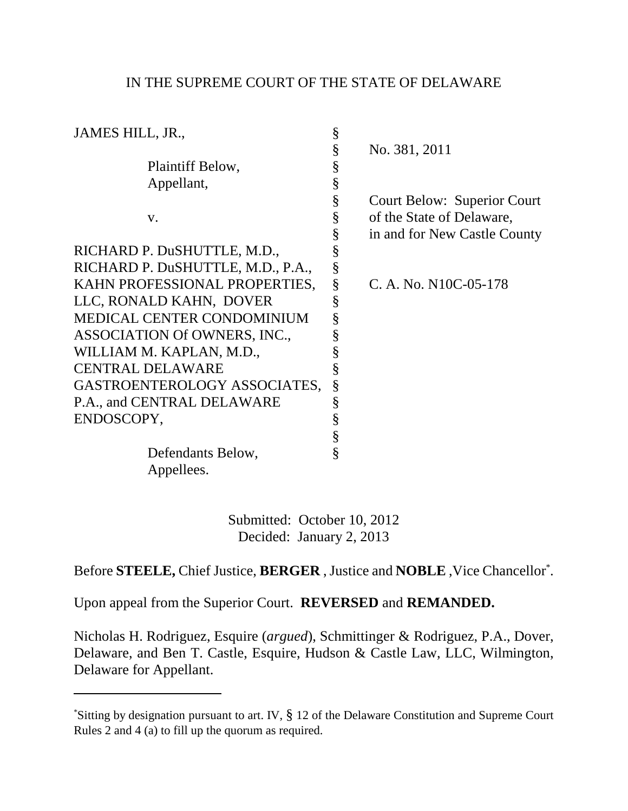## IN THE SUPREME COURT OF THE STATE OF DELAWARE

| JAMES HILL, JR.,                  | § |                                    |
|-----------------------------------|---|------------------------------------|
|                                   | § | No. 381, 2011                      |
| Plaintiff Below,                  | § |                                    |
| Appellant,                        | § |                                    |
|                                   | § | <b>Court Below: Superior Court</b> |
| V.                                | § | of the State of Delaware,          |
|                                   | § | in and for New Castle County       |
| RICHARD P. DuSHUTTLE, M.D.,       | § |                                    |
| RICHARD P. DuSHUTTLE, M.D., P.A., | § |                                    |
| KAHN PROFESSIONAL PROPERTIES,     | § | C. A. No. N10C-05-178              |
| LLC, RONALD KAHN, DOVER           | § |                                    |
| <b>MEDICAL CENTER CONDOMINIUM</b> | § |                                    |
| ASSOCIATION Of OWNERS, INC.,      | § |                                    |
| WILLIAM M. KAPLAN, M.D.,          | § |                                    |
| <b>CENTRAL DELAWARE</b>           | § |                                    |
| GASTROENTEROLOGY ASSOCIATES,      | § |                                    |
| P.A., and CENTRAL DELAWARE        | § |                                    |
| ENDOSCOPY,                        | § |                                    |
|                                   | § |                                    |
| Defendants Below,                 | § |                                    |
| Appellees.                        |   |                                    |

Submitted: October 10, 2012 Decided: January 2, 2013

Before **STEELE,** Chief Justice, **BERGER** , Justice and **NOBLE** ,Vice Chancellor\* .

Upon appeal from the Superior Court. **REVERSED** and **REMANDED.**

Nicholas H. Rodriguez, Esquire (*argued*), Schmittinger & Rodriguez, P.A., Dover, Delaware, and Ben T. Castle, Esquire, Hudson & Castle Law, LLC, Wilmington, Delaware for Appellant.

<sup>\*</sup>Sitting by designation pursuant to art. IV, § 12 of the Delaware Constitution and Supreme Court Rules 2 and 4 (a) to fill up the quorum as required.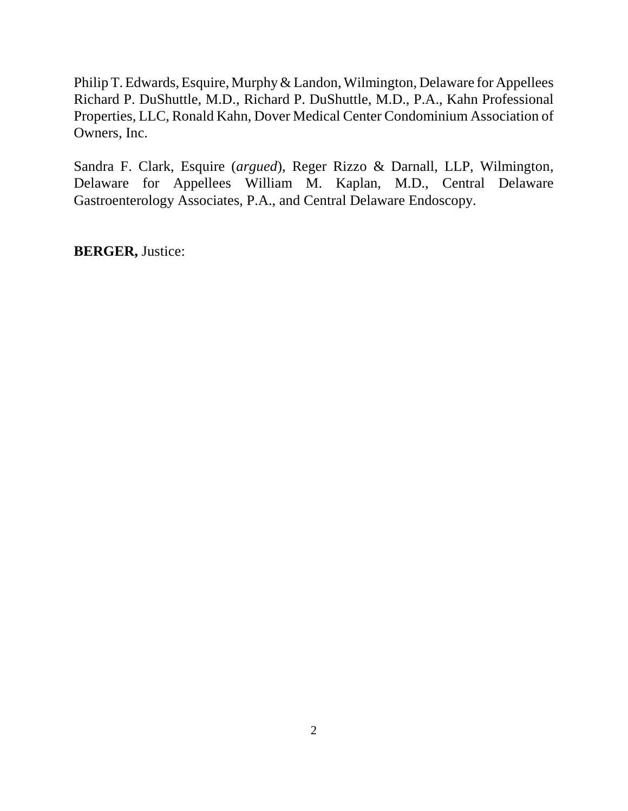Philip T. Edwards, Esquire, Murphy & Landon, Wilmington, Delaware for Appellees Richard P. DuShuttle, M.D., Richard P. DuShuttle, M.D., P.A., Kahn Professional Properties, LLC, Ronald Kahn, Dover Medical Center Condominium Association of Owners, Inc.

Sandra F. Clark, Esquire (*argued*), Reger Rizzo & Darnall, LLP, Wilmington, Delaware for Appellees William M. Kaplan, M.D., Central Delaware Gastroenterology Associates, P.A., and Central Delaware Endoscopy.

**BERGER,** Justice: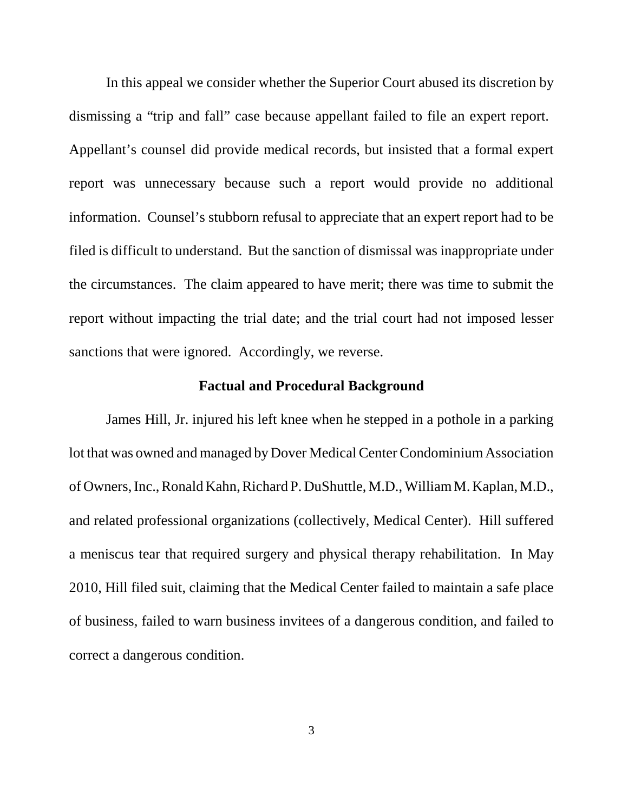In this appeal we consider whether the Superior Court abused its discretion by dismissing a "trip and fall" case because appellant failed to file an expert report. Appellant's counsel did provide medical records, but insisted that a formal expert report was unnecessary because such a report would provide no additional information. Counsel's stubborn refusal to appreciate that an expert report had to be filed is difficult to understand. But the sanction of dismissal was inappropriate under the circumstances. The claim appeared to have merit; there was time to submit the report without impacting the trial date; and the trial court had not imposed lesser sanctions that were ignored. Accordingly, we reverse.

## **Factual and Procedural Background**

James Hill, Jr. injured his left knee when he stepped in a pothole in a parking lot that was owned and managed by Dover Medical Center Condominium Association of Owners, Inc., Ronald Kahn, Richard P. DuShuttle, M.D., William M. Kaplan, M.D., and related professional organizations (collectively, Medical Center). Hill suffered a meniscus tear that required surgery and physical therapy rehabilitation. In May 2010, Hill filed suit, claiming that the Medical Center failed to maintain a safe place of business, failed to warn business invitees of a dangerous condition, and failed to correct a dangerous condition.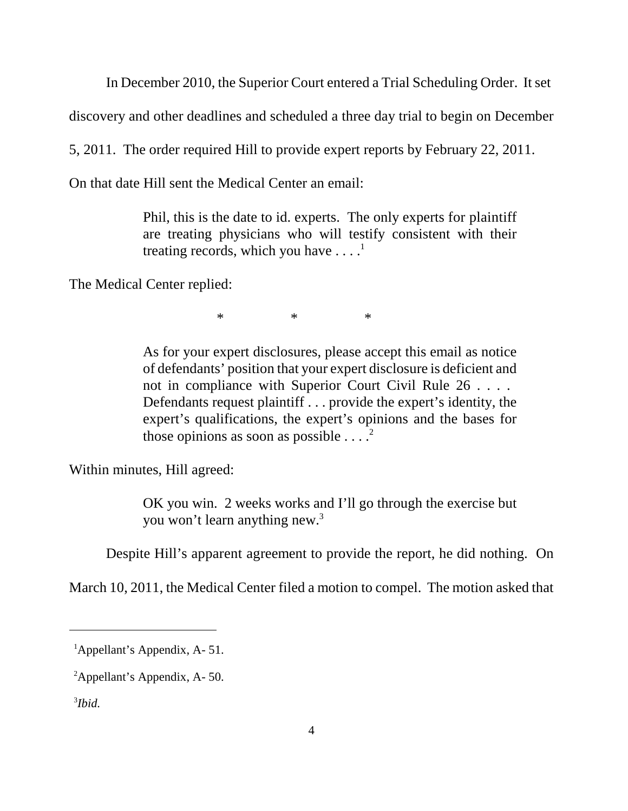In December 2010, the Superior Court entered a Trial Scheduling Order. It set

discovery and other deadlines and scheduled a three day trial to begin on December

5, 2011. The order required Hill to provide expert reports by February 22, 2011.

On that date Hill sent the Medical Center an email:

Phil, this is the date to id. experts. The only experts for plaintiff are treating physicians who will testify consistent with their treating records, which you have  $\dots$ <sup>1</sup>

The Medical Center replied:

\* \* \*

As for your expert disclosures, please accept this email as notice of defendants' position that your expert disclosure is deficient and not in compliance with Superior Court Civil Rule 26 . . . . Defendants request plaintiff . . . provide the expert's identity, the expert's qualifications, the expert's opinions and the bases for those opinions as soon as possible  $\ldots$ <sup>2</sup>

Within minutes, Hill agreed:

OK you win. 2 weeks works and I'll go through the exercise but you won't learn anything new.<sup>3</sup>

Despite Hill's apparent agreement to provide the report, he did nothing. On

March 10, 2011, the Medical Center filed a motion to compel. The motion asked that

<sup>&</sup>lt;sup>1</sup>Appellant's Appendix, A-51.

<sup>2</sup>Appellant's Appendix, A- 50.

<sup>3</sup> *Ibid.*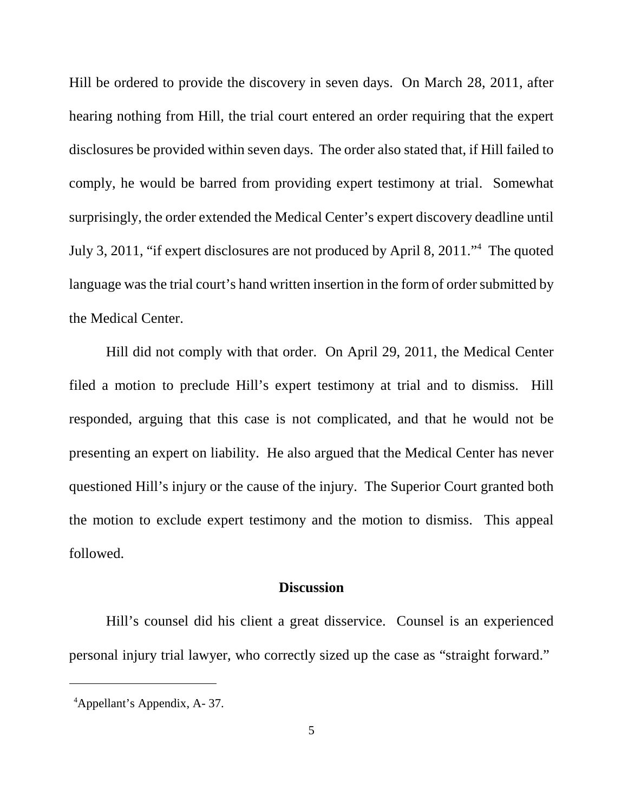Hill be ordered to provide the discovery in seven days. On March 28, 2011, after hearing nothing from Hill, the trial court entered an order requiring that the expert disclosures be provided within seven days. The order also stated that, if Hill failed to comply, he would be barred from providing expert testimony at trial. Somewhat surprisingly, the order extended the Medical Center's expert discovery deadline until July 3, 2011, "if expert disclosures are not produced by April 8, 2011."<sup>4</sup> The quoted language was the trial court's hand written insertion in the form of order submitted by the Medical Center.

Hill did not comply with that order. On April 29, 2011, the Medical Center filed a motion to preclude Hill's expert testimony at trial and to dismiss. Hill responded, arguing that this case is not complicated, and that he would not be presenting an expert on liability. He also argued that the Medical Center has never questioned Hill's injury or the cause of the injury. The Superior Court granted both the motion to exclude expert testimony and the motion to dismiss. This appeal followed.

## **Discussion**

Hill's counsel did his client a great disservice. Counsel is an experienced personal injury trial lawyer, who correctly sized up the case as "straight forward."

<sup>4</sup>Appellant's Appendix, A- 37.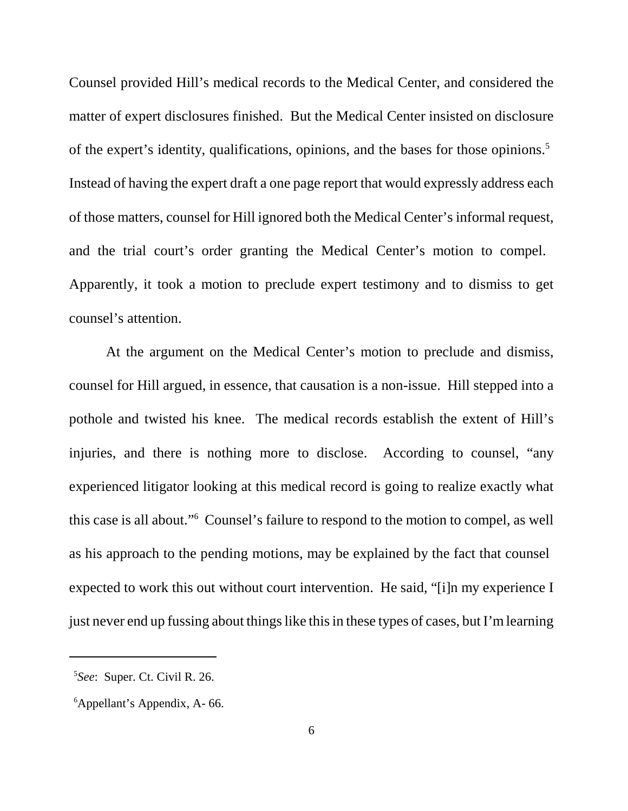Counsel provided Hill's medical records to the Medical Center, and considered the matter of expert disclosures finished. But the Medical Center insisted on disclosure of the expert's identity, qualifications, opinions, and the bases for those opinions.<sup>5</sup> Instead of having the expert draft a one page report that would expressly address each of those matters, counsel for Hill ignored both the Medical Center's informal request, and the trial court's order granting the Medical Center's motion to compel. Apparently, it took a motion to preclude expert testimony and to dismiss to get counsel's attention.

At the argument on the Medical Center's motion to preclude and dismiss, counsel for Hill argued, in essence, that causation is a non-issue. Hill stepped into a pothole and twisted his knee. The medical records establish the extent of Hill's injuries, and there is nothing more to disclose. According to counsel, "any experienced litigator looking at this medical record is going to realize exactly what this case is all about."<sup>6</sup> Counsel's failure to respond to the motion to compel, as well as his approach to the pending motions, may be explained by the fact that counsel expected to work this out without court intervention. He said, "[i]n my experience I just never end up fussing about things like this in these types of cases, but I'm learning

<sup>5</sup> *See*: Super. Ct. Civil R. 26.

<sup>6</sup>Appellant's Appendix, A- 66.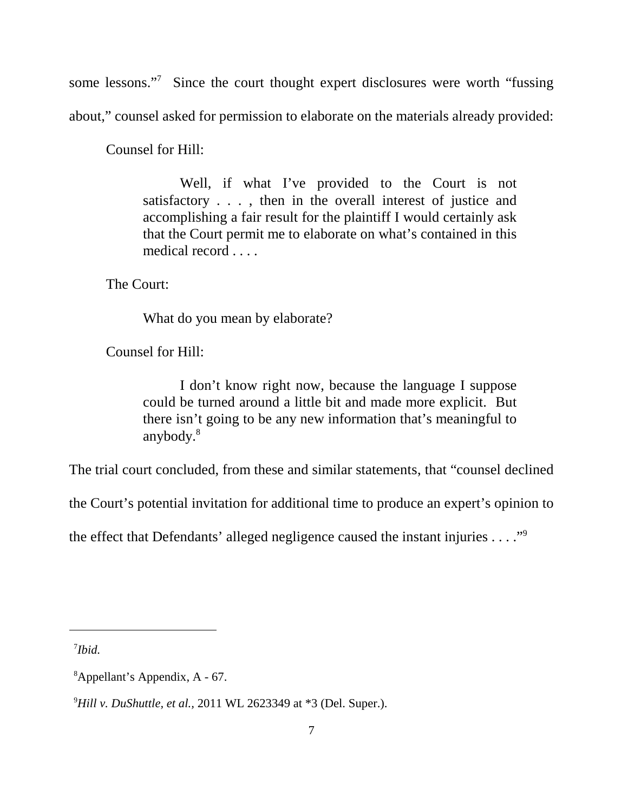some lessons."<sup>7</sup> Since the court thought expert disclosures were worth "fussing about," counsel asked for permission to elaborate on the materials already provided:

Counsel for Hill:

Well, if what I've provided to the Court is not satisfactory . . . , then in the overall interest of justice and accomplishing a fair result for the plaintiff I would certainly ask that the Court permit me to elaborate on what's contained in this medical record . . . .

The Court:

What do you mean by elaborate?

Counsel for Hill:

I don't know right now, because the language I suppose could be turned around a little bit and made more explicit. But there isn't going to be any new information that's meaningful to anybody.<sup>8</sup>

The trial court concluded, from these and similar statements, that "counsel declined

the Court's potential invitation for additional time to produce an expert's opinion to

the effect that Defendants' alleged negligence caused the instant injuries . . . ."<sup>9</sup>

7 *Ibid.*

<sup>8</sup>Appellant's Appendix, A - 67.

<sup>9</sup>*Hill v. DuShuttle, et al.,* 2011 WL 2623349 at \*3 (Del. Super.).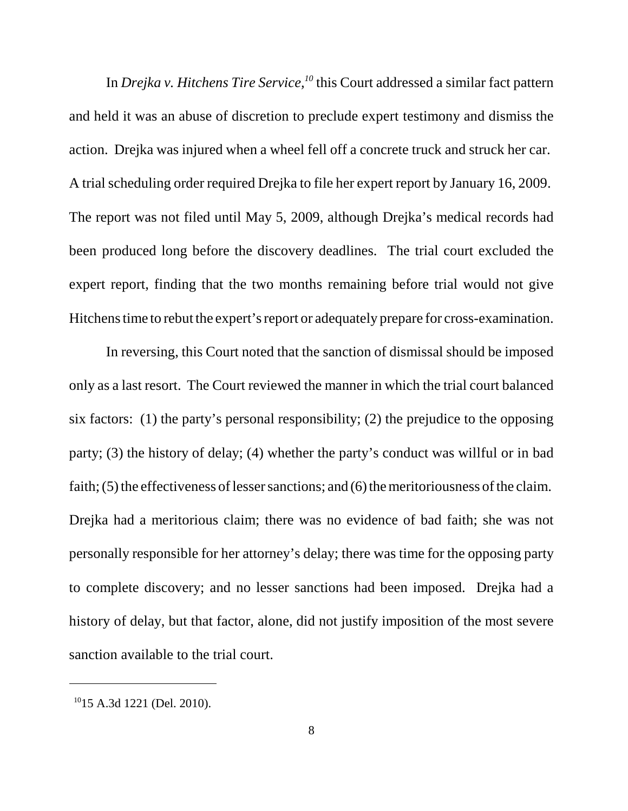In *Drejka v. Hitchens Tire Service,<sup>10</sup>* this Court addressed a similar fact pattern and held it was an abuse of discretion to preclude expert testimony and dismiss the action. Drejka was injured when a wheel fell off a concrete truck and struck her car. A trial scheduling order required Drejka to file her expert report by January 16, 2009. The report was not filed until May 5, 2009, although Drejka's medical records had been produced long before the discovery deadlines. The trial court excluded the expert report, finding that the two months remaining before trial would not give Hitchens time to rebut the expert's report or adequately prepare for cross-examination.

In reversing, this Court noted that the sanction of dismissal should be imposed only as a last resort. The Court reviewed the manner in which the trial court balanced six factors: (1) the party's personal responsibility; (2) the prejudice to the opposing party; (3) the history of delay; (4) whether the party's conduct was willful or in bad faith; (5) the effectiveness of lesser sanctions; and (6) the meritoriousness of the claim. Drejka had a meritorious claim; there was no evidence of bad faith; she was not personally responsible for her attorney's delay; there was time for the opposing party to complete discovery; and no lesser sanctions had been imposed. Drejka had a history of delay, but that factor, alone, did not justify imposition of the most severe sanction available to the trial court.

<sup>10</sup>15 A.3d 1221 (Del. 2010).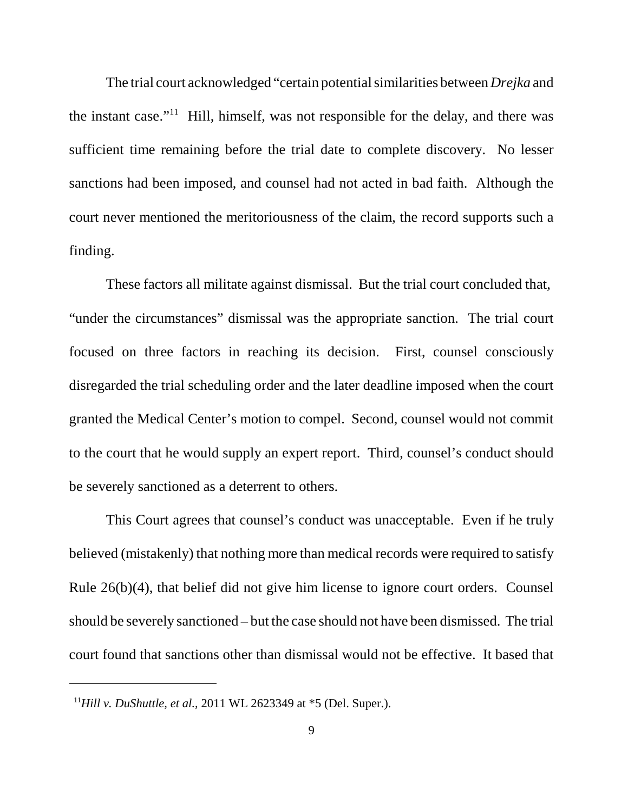The trial court acknowledged "certain potential similarities between *Drejka* and the instant case."<sup>11</sup> Hill, himself, was not responsible for the delay, and there was sufficient time remaining before the trial date to complete discovery. No lesser sanctions had been imposed, and counsel had not acted in bad faith. Although the court never mentioned the meritoriousness of the claim, the record supports such a finding.

These factors all militate against dismissal. But the trial court concluded that, "under the circumstances" dismissal was the appropriate sanction. The trial court focused on three factors in reaching its decision. First, counsel consciously disregarded the trial scheduling order and the later deadline imposed when the court granted the Medical Center's motion to compel. Second, counsel would not commit to the court that he would supply an expert report. Third, counsel's conduct should be severely sanctioned as a deterrent to others.

This Court agrees that counsel's conduct was unacceptable. Even if he truly believed (mistakenly) that nothing more than medical records were required to satisfy Rule 26(b)(4), that belief did not give him license to ignore court orders. Counsel should be severely sanctioned – but the case should not have been dismissed. The trial court found that sanctions other than dismissal would not be effective. It based that

<sup>11</sup>*Hill v. DuShuttle, et al.,* 2011 WL 2623349 at \*5 (Del. Super.).